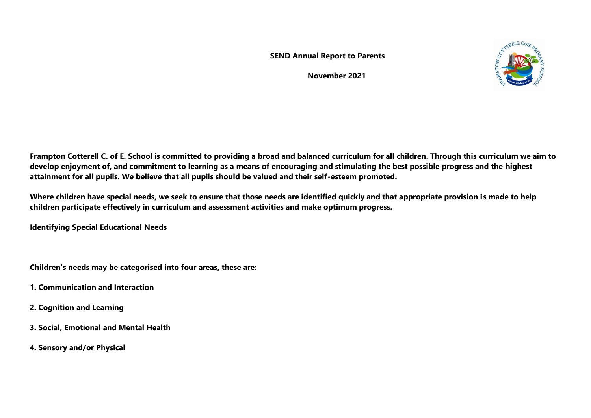**SEND Annual Report to Parents** 

 **November 2021** 



**Frampton Cotterell C. of E. School is committed to providing a broad and balanced curriculum for all children. Through this curriculum we aim to develop enjoyment of, and commitment to learning as a means of encouraging and stimulating the best possible progress and the highest attainment for all pupils. We believe that all pupils should be valued and their self-esteem promoted.**

**Where children have special needs, we seek to ensure that those needs are identified quickly and that appropriate provision is made to help children participate effectively in curriculum and assessment activities and make optimum progress.**

**Identifying Special Educational Needs**

**Children's needs may be categorised into four areas, these are:**

- **1. Communication and Interaction**
- **2. Cognition and Learning**
- **3. Social, Emotional and Mental Health**
- **4. Sensory and/or Physical**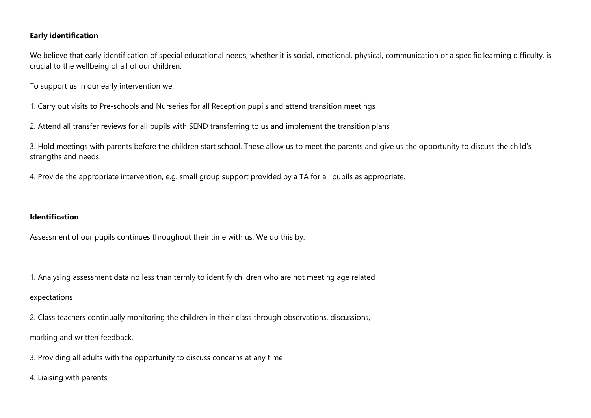#### **Early identification**

We believe that early identification of special educational needs, whether it is social, emotional, physical, communication or a specific learning difficulty, is crucial to the wellbeing of all of our children.

To support us in our early intervention we:

- 1. Carry out visits to Pre-schools and Nurseries for all Reception pupils and attend transition meetings
- 2. Attend all transfer reviews for all pupils with SEND transferring to us and implement the transition plans

3. Hold meetings with parents before the children start school. These allow us to meet the parents and give us the opportunity to discuss the child's strengths and needs.

4. Provide the appropriate intervention, e.g. small group support provided by a TA for all pupils as appropriate.

## **Identification**

Assessment of our pupils continues throughout their time with us. We do this by:

1. Analysing assessment data no less than termly to identify children who are not meeting age related expectations

2. Class teachers continually monitoring the children in their class through observations, discussions, marking and written feedback.

- 3. Providing all adults with the opportunity to discuss concerns at any time
- 4. Liaising with parents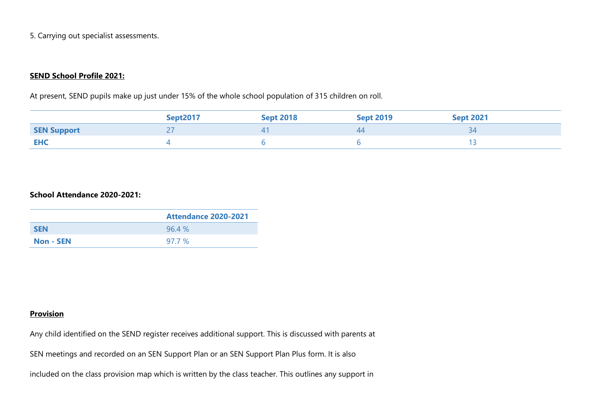5. Carrying out specialist assessments.

#### **SEND School Profile 2021:**

At present, SEND pupils make up just under 15% of the whole school population of 315 children on roll.

|                    | <b>Sept2017</b> | <b>Sept 2018</b> | <b>Sept 2019</b> | <b>Sept 2021</b> |
|--------------------|-----------------|------------------|------------------|------------------|
| <b>SEN Support</b> |                 |                  | 44               |                  |
| <b>EHC</b>         |                 |                  |                  |                  |

## **School Attendance 2020-2021:**

|                  | <b>Attendance 2020-2021</b> |
|------------------|-----------------------------|
| <b>SEN</b>       | 96.4%                       |
| <b>Non - SEN</b> | 97.7 %                      |

## **Provision**

Any child identified on the SEND register receives additional support. This is discussed with parents at

SEN meetings and recorded on an SEN Support Plan or an SEN Support Plan Plus form. It is also

included on the class provision map which is written by the class teacher. This outlines any support in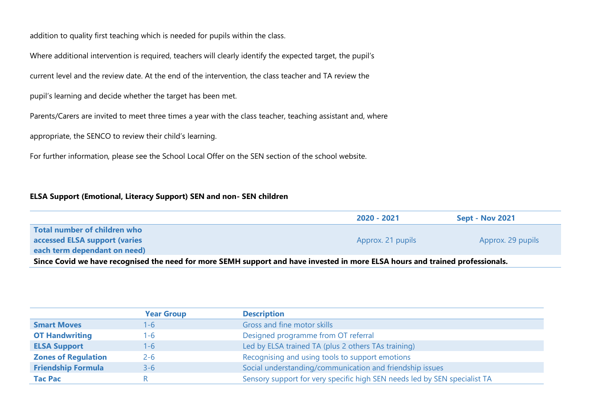addition to quality first teaching which is needed for pupils within the class.

Where additional intervention is required, teachers will clearly identify the expected target, the pupil's

current level and the review date. At the end of the intervention, the class teacher and TA review the

pupil's learning and decide whether the target has been met.

Parents/Carers are invited to meet three times a year with the class teacher, teaching assistant and, where

appropriate, the SENCO to review their child's learning.

For further information, please see the School Local Offer on the SEN section of the school website.

#### **ELSA Support (Emotional, Literacy Support) SEN and non- SEN children**

|                                                                                                                              | 2020 - 2021       | <b>Sept - Nov 2021</b> |
|------------------------------------------------------------------------------------------------------------------------------|-------------------|------------------------|
| Total number of children who                                                                                                 |                   |                        |
| accessed ELSA support (varies                                                                                                | Approx. 21 pupils | Approx. 29 pupils      |
| each term dependant on need)                                                                                                 |                   |                        |
| Since Cavid up have reconsiged the need for more SEMU cunners and have invested in more FLSA hours and trained prefectionals |                   |                        |

**Since Covid we have recognised the need for more SEMH support and have invested in more ELSA hours and trained professionals.** 

|                            | <b>Year Group</b> | <b>Description</b>                                                        |
|----------------------------|-------------------|---------------------------------------------------------------------------|
| <b>Smart Moves</b>         | 1-6               | Gross and fine motor skills                                               |
| <b>OT Handwriting</b>      | 1-6               | Designed programme from OT referral                                       |
| <b>ELSA Support</b>        | 1-6.              | Led by ELSA trained TA (plus 2 others TAs training)                       |
| <b>Zones of Regulation</b> | $2 - 6$           | Recognising and using tools to support emotions                           |
| <b>Friendship Formula</b>  | $3 - 6$           | Social understanding/communication and friendship issues                  |
| <b>Tac Pac</b>             |                   | Sensory support for very specific high SEN needs led by SEN specialist TA |